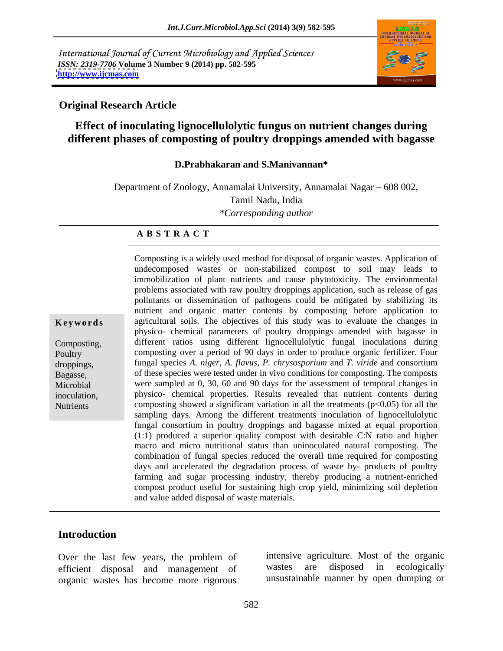International Journal of Current Microbiology and Applied Sciences *ISSN: 2319-7706* **Volume 3 Number 9 (2014) pp. 582-595 <http://www.ijcmas.com>**



#### **Original Research Article**

# **Effect of inoculating lignocellulolytic fungus on nutrient changes during different phases of composting of poultry droppings amended with bagasse**

#### **D.Prabhakaran and S.Manivannan\***

Department of Zoology, Annamalai University, Annamalai Nagar – 608 002, Tamil Nadu, India *\*Corresponding author* 

#### **A B S T R A C T**

Bagasse, of these species were tested under in vivo conditions for composting. The composts **Keywords** agricultural soils. The objectives of this study was to evaluate the changes in Composting, different ratios using different lignocellulolytic fungal inoculations during Poultry composting over a period of 90 days in order to produce organic fertilizer. Four droppings, fungal species *A. niger, A. flavus, P. chrysosporium* and *T. viride* and consortium Microbial were sampled at 0, 30, 60 and 90 days for the assessment of temporal changes in inoculation, physico- chemical properties. Results revealed that nutrient contents during Nutrients composting showed a significant variation in all the treatments (p<0.05) for all the Composting is a widely used method for disposal of organic wastes. Application of undecomposed wastes or non-stabilized compost to soil may leads to immobilization of plant nutrients and cause phytotoxicity. The environmental problems associated with raw poultry droppings application, such as release of gas pollutants or dissemination of pathogens could be mitigated by stabilizing its nutrient and organic matter contents by composting before application to physico- chemical parameters of poultry droppings amended with bagasse in sampling days. Among the different treatments inoculation of lignocellulolytic fungal consortium in poultry droppings and bagasse mixed at equal proportion (1:1) produced a superior quality compost with desirable C:N ratio and higher macro and micro nutritional status than uninoculated natural composting. The combination of fungal species reduced the overall time required for composting days and accelerated the degradation process of waste by- products of poultry farming and sugar processing industry, thereby producing a nutrient-enriched compost product useful for sustaining high crop yield, minimizing soil depletion and value added disposal of waste materials.

#### **Introduction**

Over the last few years, the problem of the unit intensive agreement of the vastes are efficient disposal and management of organic wastes has become more rigorous

intensive agriculture. Most of the organic disposed in ecologically unsustainable manner by open dumping or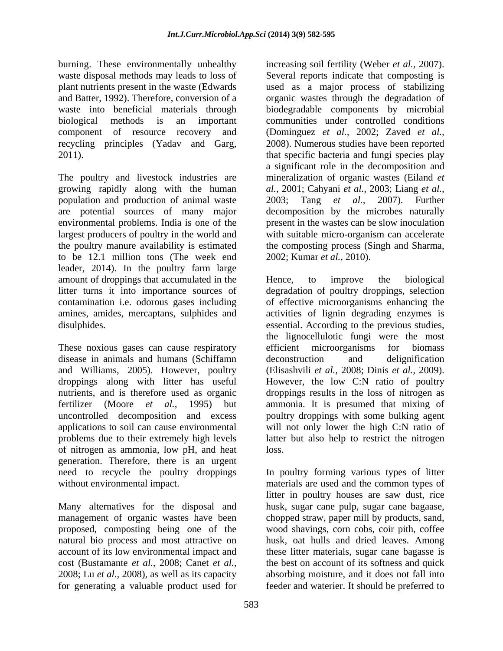burning. These environmentally unhealthy increasing soil fertility (Weber *et al.,* 2007). waste disposal methods may leads to loss of<br>plant nutrients present in the waste (Edwards

The poultry and livestock industries are mineralization of organic wastes (Eiland *et*  growing rapidly along with the human *al.,* 2001; Cahyani *et al.,* 2003; Liang *et al.,* population and production of animal waste 2003; Tang et al., 2007). Further are potential sources of many major decomposition by the microbes naturally environmental problems. India is one of the largest producers of poultry in the world and the poultry manure availability is estimated the composting process (Singh and Sharma, to be 12.1 million tons (The week end leader, 2014). In the poultry farm large amount of droppings that accumulated in the Hence, to improve the biological litter turns it into importance sources of degradation of poultry droppings, selection

These noxious gases can cause respiratory efficient microorganisms for biomass disease in animals and humans (Schiffamn and Williams, 2005). However, poultry (Elisashvili *et al.,* 2008; Dinis *et al.,* 2009). droppings along with litter has useful However, the low C:N ratio of poultry nutrients, and is therefore used as organic droppings results in the loss of nitrogen as fertilizer (Moore *et al.,* 1995) but ammonia. It is presumed that mixing of uncontrolled decomposition and excess poultry droppings with some bulking agent applications to soil can cause environmental will not only lower the high C:N ratio of problems due to their extremely high levels of nitrogen as ammonia, low pH, and heat generation. Therefore, there is an urgent

management of organic wastes have been for generating a valuable product used for feeder and waterier. It should be preferred to

plant nutrients present in the waste (Edwards used as a major process of stabilizing and Batter, 1992). Therefore, conversion of a organic wastes through the degradation of waste into beneficial materials through biodegradable components by microbial biological methods is an important communities under controlled conditions component of resource recovery and (Dominguez *et al.,* 2002; Zaved *et al.,* recycling principles (Yadav and Garg, 2008). Numerous studies have been reported 2011). that specific bacteria and fungi species play Several reports indicate that composting is a significant role in the decomposition and 2003; Tang *et al.,* 2007). Further present in the wastes can be slow inoculation with suitable micro-organism can accelerate 2002; Kumar *et al.,* 2010).

litter turns it into importance sources of degradation of poultry droppings, selection contamination i.e. odorous gases including of effective microorganisms enhancing the amines, amides, mercaptans, sulphides and activities of lignin degrading enzymes is disulphides. essential. According to the previous studies, Hence, to improve the biological the lignocellulotic fungi were the most efficient microorganisms for biomass deconstruction and delignification latter but also help to restrict the nitrogen loss.

need to recycle the poultry droppings In poultry forming various types of litter without environmental impact. materials are used and the common types of Many alternatives for the disposal and husk, sugar cane pulp, sugar cane bagaase, proposed, composting being one of the wood shavings, corn cobs, coir pith, coffee natural bio process and most attractive on husk, oat hulls and dried leaves. Among account of its low environmental impact and these litter materials, sugar cane bagasse is cost (Bustamante *et al.,* 2008; Canet *et al.,* the best on account of its softness and quick 2008; Lu *et al.,* 2008), as well as its capacity absorbing moisture, and it does not fall into litter in poultry houses are saw dust, rice chopped straw, paper mill by products, sand,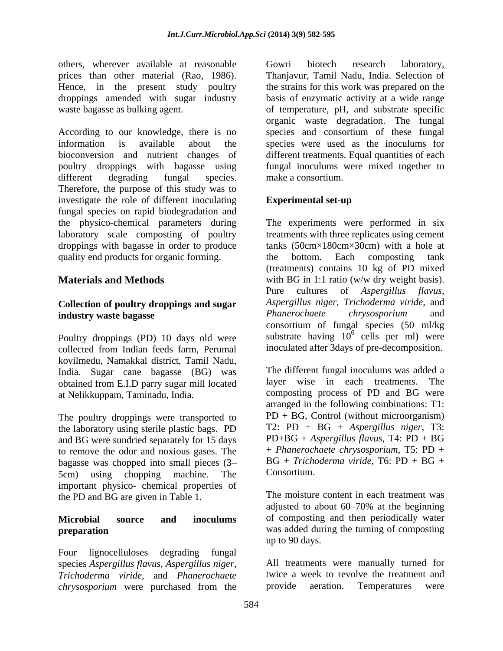others, wherever available at reasonable prices than other material (Rao, 1986). droppings amended with sugar industry

According to our knowledge, there is no species and consortium of these fungal information is available about the species were used as the inoculums for bioconversion and nutrient changes of different treatments.Equal quantities of each poultry droppings with bagasse using fungal inoculums were mixed together to different degrading fungal species. make a consortium.<br>Therefore, the purpose of this study was to investigate the role of different inoculating Experimental set-up fungal species on rapid biodegradation and the physico-chemical parameters during laboratory scale composting of poultry droppings with bagasse in order to produce quality end products for organic forming. The bottom. Each composting tank

#### **Collection of poultry droppings and sugar** *Aspergillus niger, Trichoderma viride,* and **industry waste hagasse** *Phanerochaete chrysosporium* and **industry waste bagasse**

Poultry droppings (PD) 10 days old were collected from Indian feeds farm, Perumal kovilmedu, Namakkal district, Tamil Nadu, India. Sugar cane bagasse (BG) was obtained from E.I.D parry sugar mill located

The poultry droppings were transported to the laboratory using sterile plastic bags. PD and BG were sundried separately for 15 days to remove the odor and noxious gases. The bagasse was chopped into small pieces  $(3 - BC + Trich$ 5cm) using chopping machine. The important physico- chemical properties of the PD and BG are given in Table 1.

Four lignocelluloses degrading fungal species *Aspergillus flavus, Aspergillus niger, Trichoderma viride*, and *Phanerochaete* twice a week to revolve the treatment chrysosporium were purchased from the provide aeration. Temperatures *chrysosporium* were purchased from the

Hence, in the present study poultry the strains for this work was prepared on the waste bagasse as bulking agent. The second of temperature, pH, and substrate specific Gowri biotech research laboratory, Thanjavur, Tamil Nadu, India. Selection of basis of enzymatic activity at a wide range organic waste degradation. The fungal make a consortium.

#### **Experimental set-up**

**Materials and Methods** with BG in 1:1 ratio (w/w dry weight basis). The experiments were performed in six treatments with three replicates using cement tanks (50cm×180cm×30cm) with a hole at the bottom. Each composting tank (treatments) contains 10 kg of PD mixed Pure cultures of *Aspergillus flavus, Aspergillus niger, Trichoderma viride,* and *Phanerochaete chrysosporium* and consortium of fungal species (50 ml/kg substrate having  $10^6$  cells per ml) were cells per ml) were inoculated after 3days of pre-decomposition.

at Nelikkuppam, Taminadu, India. composting process of PD and BG were The different fungal inoculums was added a layer wise in each treatments. The arranged in the following combinations: T1: PD + BG, Control (without microorganism) T2: PD + BG + *Aspergillus niger*, T3: PD+BG + *Aspergillus flavus*, T4: PD + BG + *Phanerochaete chrysosporium*, T5: PD + BG + *Trichoderma viride*, T6: PD + BG + Consortium.

**Microbial source and inoculums** of composting and then periodically water **preparation** was added during the turning of composting The moisture content in each treatment was adjusted to about  $60-70\%$  at the beginning up to 90 days.

> All treatments were manually turned for twice a week to revolve the treatment and provide aeration. Temperatures were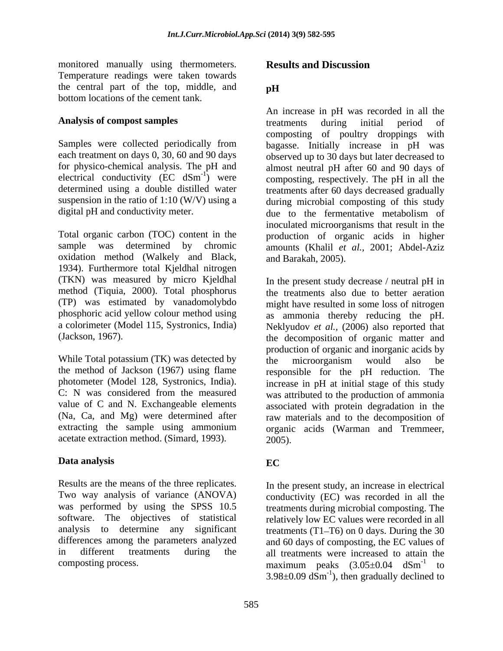monitored manually using thermometers. Temperature readings were taken towards the central part of the top, middle, and pH bottom locations of the cement tank.

electrical conductivity  $(EC \text{dSm}^{-1})$  were

oxidation method (Walkely and Black, 1934). Furthermore total Kjeldhal nitrogen (TKN) was measured by micro Kjeldhal method (Tiquia, 2000). Total phosphorus phosphoric acid yellow colour method using

While Total potassium (TK) was detected by the microorganism would also be acetate extraction method. (Simard, 1993).  $2005$ .

### **Data analysis**

Results are the means of the three replicates. Two way analysis of variance (ANOVA)

# **Results and Discussion**

### **pH**

**Analysis of compost samples** treatments during initial period of Samples were collected periodically from bagasse. Initially increase in pH was each treatment on days 0, 30, 60 and 90 days observed up to 30 days but later decreased to for physico-chemical analysis. The pH and almost neutral pH after 60 and 90 days of ) were composting, respectively. The pH in all the determined using a double distilled water treatments after 60 days decreased gradually suspension in the ratio of 1:10 (W/V) using a during microbial composting of this study digital pH and conductivity meter. due to the fermentative metabolism of Total organic carbon (TOC) content in the production of organic acids in higher sample was determined by chromic amounts (Khalil *et al.,* 2001; Abdel-Aziz An increase in pH was recorded in all the treatments during initial period of composting of poultry droppings with inoculated microorganisms that result in the and Barakah, 2005).

(TP) was estimated by vanadomolybdo might have resulted in some loss of nitrogen a colorimeter (Model 115, Systronics, India) Neklyudov *et al.,* (2006) also reported that (Jackson, 1967). the decomposition of organic matter and the method of Jackson (1967) using flame responsible for the pH reduction. The photometer (Model 128, Systronics, India). increase in pH at initial stage of this study C: N was considered from the measured was attributed to the production of ammonia value of C and N. Exchangeable elements associated with protein degradation in the (Na, Ca, and Mg) were determined after raw materials and to the decomposition of extracting the sample using ammonium organic acids (Warman and Tremmeer, In the present study decrease / neutral pH in the treatments also due to better aeration as ammonia thereby reducing the pH. production of organic and inorganic acids by the microorganism would also be 2005).

# **EC**

was performed by using the SPSS 10.5 treatments during microbial composting. The software. The objectives of statistical relatively low EC values were recorded in all analysis to determine any significant treatments (T1-T6) on 0 days. During the 30 differences among the parameters analyzed and 60 days of composting, the EC values of in different treatments during the all treatments were increased to attain the composting process.  $maximum$  peaks  $(3.05\pm0.04$  dSm<sup>-1</sup> to In the present study, an increase in electrical conductivity (EC) was recorded in all the  $-1$  to  $\overline{ }$ to  $3.98\pm0.09$  dSm<sup>-1</sup>), then gradually declined to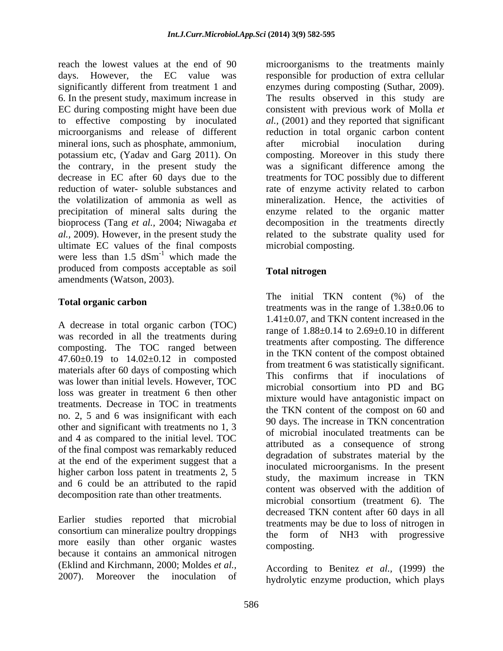reach the lowest values at the end of 90 microorganisms to the treatments mainly days. However, the EC value was responsible for production of extra cellular significantly different from treatment 1 and 6. In the present study, maximum increase in EC during composting might have been due to effective composting by inoculated al., (2001) and they reported that significant microorganisms and release of different reduction in total organic carbon content mineral ions, such as phosphate, ammonium, after microbial inoculation during potassium etc, (Yadav and Garg 2011). On composting. Moreover in this study there the contrary, in the present study the was a significant difference among the decrease in EC after 60 days due to the treatments for TOC possibly due to different reduction of water- soluble substances and rate of enzyme activity related to carbon the volatilization of ammonia as well as mineralization. Hence, the activities of precipitation of mineral salts during the enzyme related to the organic matter bioprocess (Tang *et al.,* 2004; Niwagaba *et*  decomposition in the treatments directly *al.,* 2009). However, in the present study the related to the substrate quality used for ultimate EC values of the final composts were less than  $1.5$  dSm<sup>-1</sup> which made the  $^{-1}$  which mode the which made the state of the state of the state of the state of the state of the state of the state of the state of the state of the state of the state of the state of the state of the state of the state of the state of the produced from composts acceptable as soil amendments (Watson, 2003).

A decrease in total organic carbon (TOC) was recorded in all the treatments during composting. The TOC ranged between 47.60±0.19 to 14.02±0.12 in composted materials after 60 days of composting which was lower than initial levels. However, TOC has communist that in inoculations of loss was greater in treatment 6 then other treatments. Decrease in TOC in treatments no. 2, 5 and 6 was insignificant with each other and significant with treatments no 1, 3 and 4 as compared to the initial level. TOC of the final compost was remarkably reduced at the end of the experiment suggest that a higher carbon loss patent in treatments 2, 5 and 6 could be an attributed to the rapid decomposition rate than other treatments.

Earlier studies reported that microbial consortium can mineralize poultry droppings more easily than other organic wastes composting. because it contains an ammonical nitrogen (Eklind and Kirchmann, 2000; Moldes *et al.,*

enzymes during composting (Suthar, 2009). The results observed in this study are consistent with previous work of Molla *et*  after microbial inoculation during microbial composting.

### **Total nitrogen**

**Total organic carbon tractions tractional contract the represents**  $\frac{1}{2}$ The initial TKN content (%) of the treatments was in the range of 1.38±0.06 to 1.41±0.07, and TKN content increased in the range of  $1.88\pm0.14$  to  $2.69\pm0.10$  in different treatments after composting. The difference in the TKN content of the compost obtained from treatment 6 was statistically significant. This confirms that if inoculations of microbial consortium into PD and BG mixture would have antagonistic impact on the TKN content of the compost on 60 and 90 days. The increase in TKN concentration of microbial inoculated treatments can be attributed as a consequence of strong degradation of substrates material by the inoculated microorganisms. In the present study, the maximum increase in TKN content was observed with the addition of microbial consortium (treatment 6). The decreased TKN content after 60 days in all treatments may be due to loss of nitrogen in the form of NH3 with progressive composting.

2007). Moreover the inoculation of hydrolytic enzyme production, which playsAccording to Benitez *et al.,* (1999) the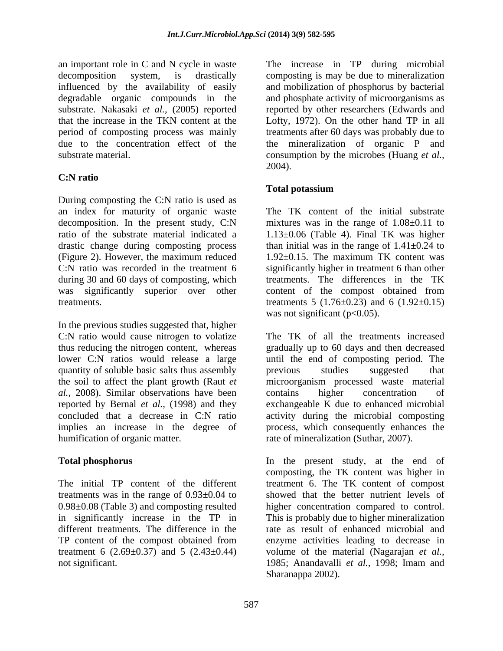influenced by the availability of easily

### **C:N ratio**

During composting the C:N ratio is used as an index for maturity of organic waste decomposition. In the present study, C:N ratio of the substrate material indicated a 1.13±0.06 (Table 4). Final TK was higher drastic change during composting process than initial was in the range of 1.41±0.24 to (Figure 2). However, the maximum reduced C:N ratio was recorded in the treatment 6 significantly higher in treatment 6 than other during 30 and 60 days of composting, which<br>was significantly superior over other content of the compost obtained from was significantly superior over other

In the previous studies suggested that, higher C:N ratio would cause nitrogen to volatize quantity of soluble basic salts thus assembly being previous studies suggested that *al.,* 2008). Similar observations have been reported by Bernal *et al.,* (1998) and they

an important role in C and N cycle in waste The increase in TP during microbial decomposition system, is drastically composting is may be due to mineralization degradable organic compounds in the and phosphate activity of microorganisms as substrate. Nakasaki *et al.,* (2005) reported reported by other researchers (Edwards and that the increase in the TKN content at the Lofty, 1972). On the other hand TP in all period of composting process was mainly treatments after 60 days was probably due to due to the concentration effect of the the mineralization of organic P and substrate material. The consumption by the microbes (Huang *et al.,* and mobilization of phosphorus by bacterial 2004).

#### **Total potassium**

treatments. treatments  $5 (1.76 \pm 0.23)$  and  $6 (1.92 \pm 0.15)$ The TK content of the initial substrate mixtures was in the range of  $1.08\pm0.11$  to 1.92±0.15. The maximum TK content was treatments. The differences in the TK content of the compost obtained from was not significant ( $p<0.05$ ).

thus reducing the nitrogen content, whereas gradually up to 60 days and then decreased lower C:N ratios would release a large until the end of composting period. The the soil to affect the plant growth (Raut *et*  microorganism processed waste material concluded that a decrease in C:N ratio activity during the microbial composting implies an increase in the degree of process, which consequently enhances the humification of organic matter. The rate of mineralization (Suthar, 2007). The TK of all the treatments increased previous studies suggested that contains higher concentration of exchangeable K due to enhanced microbial

**Total phosphorus** In the present study, at the end of The initial TP content of the different treatment 6. The TK content of compost treatments was in the range of 0.93±0.04 to showed that the better nutrient levels of 0.98±0.08 (Table 3) and composting resulted higher concentration compared to control. in significantly increase in the TP in This is probably due to higher mineralization different treatments. The difference in the rate as result of enhanced microbial and TP content of the compost obtained from enzyme activities leading to decrease in treatment 6 (2.69±0.37) and 5 (2.43±0.44) volume of the material (Nagarajan *et al.,* not significant. 1985; Anandavalli *et al.,* 1998; Imam and composting, the TK content was higher in Sharanappa 2002).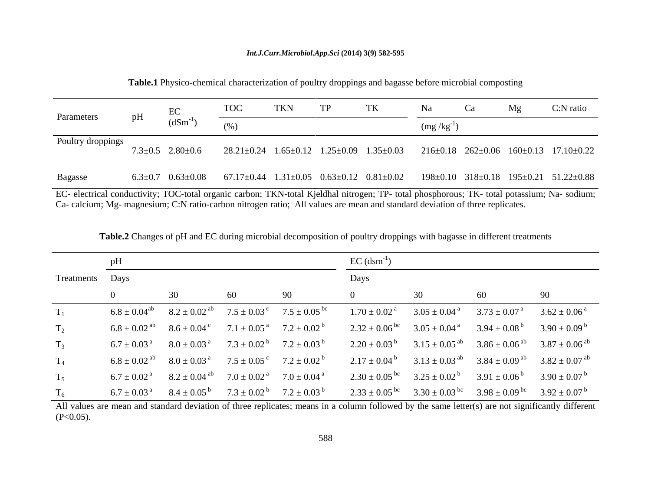#### *Int.J.Curr.Microbiol.App.Sci* **(2014) 3(9) 582-595**

| Parameters        | pH | EC<br>$(dSm^{-1})$                                                                                                                       | $T\cap C$<br>(0)                                                               | TKN |  | $m\Omega/K\Omega$ | Mg | C:N ratio |
|-------------------|----|------------------------------------------------------------------------------------------------------------------------------------------|--------------------------------------------------------------------------------|-----|--|-------------------|----|-----------|
| Poultry droppings |    | $7.3 \pm 0.5$ 2.80 $\pm$ 0.6                                                                                                             | 28.21±0.24 1.65±0.12 1.25±0.09 1.35±0.03 216±0.18 262±0.06 160±0.13 17.10±0.22 |     |  |                   |    |           |
| Bagasse           |    | $6.3\pm0.7$ $0.63\pm0.08$ $67.17\pm0.44$ $1.31\pm0.05$ $0.63\pm0.12$ $0.81\pm0.02$ $198\pm0.10$ $318\pm0.18$ $195\pm0.21$ $51.22\pm0.88$ |                                                                                |     |  |                   |    |           |

**Table.1** Physico-chemical characterization of poultry droppings and bagasse before microbial composting

EC- electrical conductivity; TOC-total organic carbon; TKN-total Kjeldhal nitrogen; TP- total phosphorous; TK- total potassium; Na- sodium; Ca- calcium; Mg- magnesium; C:N ratio-carbon nitrogen ratio; All values are mean and standard deviation of three replicates.

|                  | pH |                                                                                                                  |    |    | $EC$ (dsm <sup>-1</sup> )                                                                                          |                                                                                     |                                                                                                                        |
|------------------|----|------------------------------------------------------------------------------------------------------------------|----|----|--------------------------------------------------------------------------------------------------------------------|-------------------------------------------------------------------------------------|------------------------------------------------------------------------------------------------------------------------|
| Treatments Days  |    |                                                                                                                  |    |    | Days                                                                                                               |                                                                                     |                                                                                                                        |
|                  |    | 30                                                                                                               | 60 | 90 |                                                                                                                    | 60                                                                                  | 90                                                                                                                     |
| $T_1$            |    | $6.8 \pm 0.04^{ab}$ $8.2 \pm 0.02^{ab}$ $7.5 \pm 0.03^{c}$ $7.5 \pm 0.05^{bc}$                                   |    |    | $1.70 \pm 0.02$ <sup>a</sup>                                                                                       | $3.05 \pm 0.04^{\text{ a}}$ $3.73 \pm 0.07^{\text{ a}}$ $3.62 \pm 0.06^{\text{ a}}$ |                                                                                                                        |
| $\mathrm{T}_2$   |    | $6.8 \pm 0.02$ <sup>ab</sup> $8.6 \pm 0.04$ <sup>c</sup> $7.1 \pm 0.05$ <sup>a</sup> $7.2 \pm 0.02$ <sup>b</sup> |    |    | $2.32 \pm 0.06^{\text{ bc}}$ $3.05 \pm 0.04^{\text{ a}}$ $3.94 \pm 0.08^{\text{ b}}$ $3.90 \pm 0.09^{\text{ b}}$   |                                                                                     |                                                                                                                        |
| $T_3$            |    | $6.7 \pm 0.03^{\text{ a}}$ $8.0 \pm 0.03^{\text{ a}}$ $7.3 \pm 0.02^{\text{ b}}$ $7.2 \pm 0.03^{\text{ b}}$      |    |    |                                                                                                                    |                                                                                     | $2.20 \pm 0.03^{\text{ b}}$ $3.15 \pm 0.05^{\text{ ab}}$ $3.86 \pm 0.06^{\text{ ab}}$ $3.87 \pm 0.06^{\text{ ab}}$     |
| $T_4$            |    | $6.8 \pm 0.02$ <sup>ab</sup> $8.0 \pm 0.03$ <sup>a</sup> $7.5 \pm 0.05$ <sup>c</sup> $7.2 \pm 0.02$ <sup>b</sup> |    |    |                                                                                                                    |                                                                                     | $2.17 \pm 0.04^{\mathrm{b}}$ $3.13 \pm 0.03^{\mathrm{ab}}$ $3.84 \pm 0.09^{\mathrm{ab}}$ $3.82 \pm 0.07^{\mathrm{ab}}$ |
| $T_5$            |    | $6.7 \pm 0.02$ <sup>a</sup> $8.2 \pm 0.04$ <sup>ab</sup> $7.0 \pm 0.02$ <sup>a</sup> $7.0 \pm 0.04$ <sup>a</sup> |    |    | $2.30 \pm 0.05^{\text{ bc}}$ $3.25 \pm 0.02^{\text{ b}}$ $3.91 \pm 0.06^{\text{ b}}$ $3.90 \pm 0.07^{\text{ b}}$   |                                                                                     |                                                                                                                        |
| $\mathrm{T_{6}}$ |    | $6.7 \pm 0.03^{\text{ a}}$ $8.4 \pm 0.05^{\text{ b}}$ $7.3 \pm 0.02^{\text{ b}}$ $7.2 \pm 0.03^{\text{ b}}$      |    |    | $2.33 \pm 0.05^{\text{ bc}}$ $3.30 \pm 0.03^{\text{ bc}}$ $3.98 \pm 0.09^{\text{ bc}}$ $3.92 \pm 0.07^{\text{ b}}$ |                                                                                     |                                                                                                                        |

**Table.2** Changes of pH and EC during microbial decomposition of poultry droppings with bagasse in different treatments

All values are mean and standard deviation of three replicates; means in a column followed by the same letter(s) are not significantly different  $(P<0.05)$ .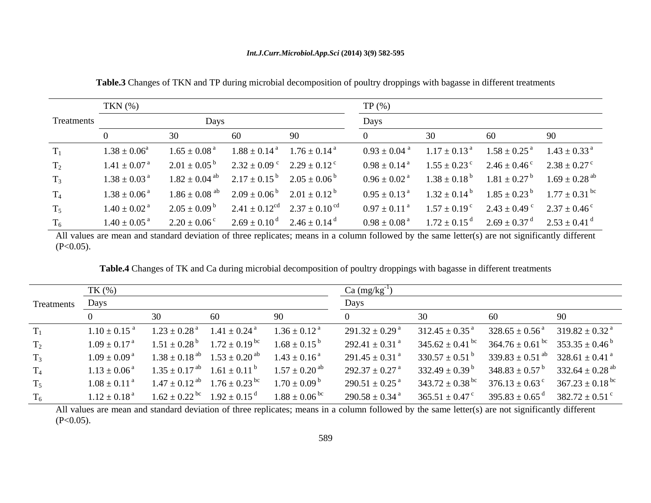|                | TKN $(\%)$                   |                                                         |                                                                                                                   | $TP(\%)$ |                                                                                                                 |                                                                                                                  |
|----------------|------------------------------|---------------------------------------------------------|-------------------------------------------------------------------------------------------------------------------|----------|-----------------------------------------------------------------------------------------------------------------|------------------------------------------------------------------------------------------------------------------|
| Treatments     |                              | Days                                                    |                                                                                                                   | Days     |                                                                                                                 |                                                                                                                  |
|                |                              |                                                         | Q()                                                                                                               |          |                                                                                                                 |                                                                                                                  |
|                | $1.38 \pm 0.06^a$            | $1.65\pm0.08$ <sup>a</sup>                              | $1.88 \pm 0.14^{\text{ a}}$ $1.76 \pm 0.14^{\text{ a}}$                                                           |          | $0.93 \pm 0.04$ <sup>a</sup> $1.17 \pm 0.13$ <sup>a</sup> $1.58 \pm 0.25$ <sup>a</sup>                          | $1.43 \pm 0.33$ <sup>a</sup>                                                                                     |
| $\mathrm{T}_2$ | $1.41 \pm 0.07$ <sup>a</sup> |                                                         | $2.01 \pm 0.05^{\circ}$ $2.32 \pm 0.09^{\circ}$ $2.29 \pm 0.12^{\circ}$                                           |          | $0.98 \pm 0.14^{\text{ a}}$ $1.55 \pm 0.23^{\text{ c}}$ $2.46 \pm 0.46^{\text{ c}}$ $2.38 \pm 0.27^{\text{ c}}$ |                                                                                                                  |
| $T_3$          |                              |                                                         | $1.38 \pm 0.03^{\text{ a}}$ $1.82 \pm 0.04^{\text{ ab}}$ $2.17 \pm 0.15^{\text{ b}}$ $2.05 \pm 0.06^{\text{ b}}$  |          |                                                                                                                 | $0.96 \pm 0.02^{\text{ a}}$ $1.38 \pm 0.18^{\text{ b}}$ $1.81 \pm 0.27^{\text{ b}}$ $1.69 \pm 0.28^{\text{ ab}}$ |
| $T_4$          |                              |                                                         | $1.38 \pm 0.06^{\text{ a}}$ $1.86 \pm 0.08^{\text{ ab}}$ $2.09 \pm 0.06^{\text{ b}}$ $2.01 \pm 0.12^{\text{ b}}$  |          |                                                                                                                 | $0.95 \pm 0.13^{\text{ a}}$ $1.32 \pm 0.14^{\text{ b}}$ $1.85 \pm 0.23^{\text{ b}}$ $1.77 \pm 0.31^{\text{ bc}}$ |
| $T_5$          |                              |                                                         | $1.40 \pm 0.02^{\text{ a}}$ $2.05 \pm 0.09^{\text{ b}}$ $2.41 \pm 0.12^{\text{ cd}}$ $2.37 \pm 0.10^{\text{ cd}}$ |          | $0.97 \pm 0.11^{\text{ a}}$ $1.57 \pm 0.19^{\text{ c}}$ $2.43 \pm 0.49^{\text{ c}}$ $2.37 \pm 0.46^{\text{ c}}$ |                                                                                                                  |
|                |                              | $1.40 \pm 0.05^{\text{ a}}$ $2.20 \pm 0.06^{\text{ c}}$ | $2.69 \pm 0.10^{\text{ d}}$ $2.46 \pm 0.14^{\text{ d}}$                                                           |          |                                                                                                                 | $0.98 \pm 0.08^{\text{ a}}$ $1.72 \pm 0.15^{\text{ d}}$ $2.69 \pm 0.37^{\text{ d}}$ $2.53 \pm 0.41^{\text{ d}}$  |

**Table.3** Changes of TKN and TP during microbial decomposition of poultry droppings with bagasse in different treatments

All values are mean and standard deviation of three replicates; means in a column followed by the same letter(s) are not significantly different  $(P<0.05)$ .

**Table.4** Changes of TK and Ca during microbial decomposition of poultry droppings with bagasse in different treatments

|                 | $TK(\%)$ |                                                                                                                   | $Ca \left( \frac{mg}{kg^{-1}} \right)$                                                                                                                                                                                                     |     |      |
|-----------------|----------|-------------------------------------------------------------------------------------------------------------------|--------------------------------------------------------------------------------------------------------------------------------------------------------------------------------------------------------------------------------------------|-----|------|
| Treatments Days |          |                                                                                                                   | Days                                                                                                                                                                                                                                       |     |      |
|                 |          |                                                                                                                   |                                                                                                                                                                                                                                            | -60 | -90- |
|                 |          | $1.10 \pm 0.15$ <sup>a</sup> $1.23 \pm 0.28$ <sup>a</sup> $1.41 \pm 0.24$ <sup>a</sup>                            | $1.36 \pm 0.12^{\text{ a}}$ $291.32 \pm 0.29^{\text{ a}}$ $312.45 \pm 0.35^{\text{ a}}$ $328.65 \pm 0.56^{\text{ a}}$ $319.82 \pm 0.32^{\text{ a}}$                                                                                        |     |      |
| $T_2$           |          |                                                                                                                   | $1.09 \pm 0.17^{a}$ $1.51 \pm 0.28^{b}$ $1.72 \pm 0.19^{bc}$ $1.68 \pm 0.15^{b}$ $292.41 \pm 0.31^{a}$ $345.62 \pm 0.41^{bc}$ $364.76 \pm 0.61^{bc}$ $353.35 \pm 0.46^{b}$                                                                 |     |      |
| $T_3$           |          | $1.09 \pm 0.09^{\text{ a}}$ $1.38 \pm 0.18^{\text{ ab}}$ $1.53 \pm 0.20^{\text{ ab}}$ $1.43 \pm 0.16^{\text{ a}}$ | $291.45 \pm 0.31^{\text{ a}}$ $330.57 \pm 0.51^{\text{ b}}$ $339.83 \pm 0.51^{\text{ ab}}$ $328.61 \pm 0.41^{\text{ a}}$                                                                                                                   |     |      |
| $T_4$           |          |                                                                                                                   | $1.13 \pm 0.06^{\text{ a}}$ $1.35 \pm 0.17^{\text{ ab}}$ $1.61 \pm 0.11^{\text{ b}}$ $1.57 \pm 0.20^{\text{ ab}}$ $292.37 \pm 0.27^{\text{ a}}$ $332.49 \pm 0.39^{\text{ b}}$ $348.83 \pm 0.57^{\text{ b}}$ $332.64 \pm 0.28^{\text{ ab}}$ |     |      |
| $T_5$           |          | $1.08 \pm 0.11^{a}$ $1.47 \pm 0.12^{ab}$ $1.76 \pm 0.23^{bc}$ $1.70 \pm 0.09^{b}$                                 | $290.51 \pm 0.25$ <sup>a</sup> $343.72 \pm 0.38$ <sup>bc</sup> $376.13 \pm 0.63$ <sup>c</sup> $367.23 \pm 0.18$ <sup>bc</sup>                                                                                                              |     |      |
|                 |          |                                                                                                                   | $1.12 \pm 0.18^{a}$ $1.62 \pm 0.22^{bc}$ $1.92 \pm 0.15^{d}$ $1.88 \pm 0.06^{bc}$ $290.58 \pm 0.34^{a}$ $365.51 \pm 0.47^{c}$ $395.83 \pm 0.65^{d}$ $382.72 \pm 0.51^{c}$                                                                  |     |      |

All values are mean and standard deviation of three replicates; means in a column followed by the same letter(s) are not significantly different  $(P<0.05)$ .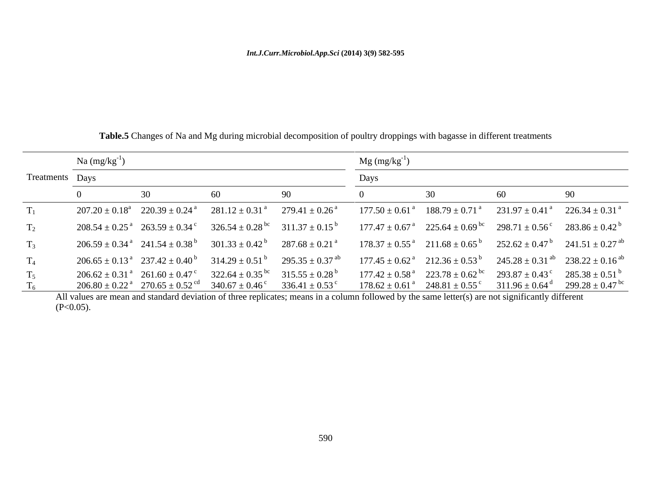|                 | Na $(mg/kg^{-1})$ |    |    |                                                                                                                                                                                                                                                                                                                                                                                                                                | $Mg (mg/kg^{-1})$ |     |    |
|-----------------|-------------------|----|----|--------------------------------------------------------------------------------------------------------------------------------------------------------------------------------------------------------------------------------------------------------------------------------------------------------------------------------------------------------------------------------------------------------------------------------|-------------------|-----|----|
| Treatments Days |                   |    |    |                                                                                                                                                                                                                                                                                                                                                                                                                                | Days              |     |    |
|                 |                   | 30 | 60 |                                                                                                                                                                                                                                                                                                                                                                                                                                |                   | -60 | 90 |
|                 |                   |    |    | $207.20 \pm 0.18^{\text{a}}$ $220.39 \pm 0.24^{\text{a}}$ $281.12 \pm 0.31^{\text{a}}$ $279.41 \pm 0.26^{\text{a}}$ $177.50 \pm 0.61^{\text{a}}$ $188.79 \pm 0.71^{\text{a}}$ $231.97 \pm 0.41^{\text{a}}$ $226.34 \pm 0.31^{\text{a}}$                                                                                                                                                                                        |                   |     |    |
| $\mathrm{T}_2$  |                   |    |    | $208.54 \pm 0.25^{\text{a}}$ $263.59 \pm 0.34^{\text{c}}$ $326.54 \pm 0.28^{\text{bc}}$ $311.37 \pm 0.15^{\text{b}}$ $177.47 \pm 0.67^{\text{a}}$ $225.64 \pm 0.69^{\text{bc}}$ $298.71 \pm 0.56^{\text{c}}$ $283.86 \pm 0.42^{\text{b}}$                                                                                                                                                                                      |                   |     |    |
| $T_3$           |                   |    |    | $206.59 \pm 0.34^{\text{ a}}$ $241.54 \pm 0.38^{\text{ b}}$ $301.33 \pm 0.42^{\text{ b}}$ $287.68 \pm 0.21^{\text{ a}}$ $178.37 \pm 0.55^{\text{ a}}$ $211.68 \pm 0.65^{\text{ b}}$ $252.62 \pm 0.47^{\text{ b}}$ $241.51 \pm 0.27^{\text{ ab}}$                                                                                                                                                                               |                   |     |    |
|                 |                   |    |    | $206.65 \pm 0.13^{\text{ a}}$ $237.42 \pm 0.40^{\text{ b}}$ $314.29 \pm 0.51^{\text{ b}}$ $295.35 \pm 0.37^{\text{ ab}}$ $177.45 \pm 0.62^{\text{ a}}$ $212.36 \pm 0.53^{\text{ b}}$ $245.28 \pm 0.31^{\text{ ab}}$ $238.22 \pm 0.16^{\text{ ab}}$                                                                                                                                                                             |                   |     |    |
| $T_5$           |                   |    |    | $206.62 \pm 0.31^{a}$ $261.60 \pm 0.47^{c}$ $322.64 \pm 0.35^{bc}$ $315.55 \pm 0.28^{b}$ $177.42 \pm 0.58^{a}$ $223.78 \pm 0.62^{bc}$ $293.87 \pm 0.43^{c}$ $285.38 \pm 0.51^{b}$<br>$206.80 \pm 0.22^{\text{a}}$ $270.65 \pm 0.52^{\text{ca}}$ $340.67 \pm 0.46^{\text{c}}$ $336.41 \pm 0.53^{\text{c}}$ $178.62 \pm 0.61^{\text{a}}$ $248.81 \pm 0.55^{\text{c}}$ $311.96 \pm 0.64^{\text{d}}$ $299.28 \pm 0.47^{\text{bc}}$ |                   |     |    |

**Table.5** Changes of Na and Mg during microbial decomposition of poultry droppings with bagasse in different treatments

All values are mean and standard deviation of three replicates; means in a column followed by the same letter(s) are not significantly different  $(P<0.05)$ .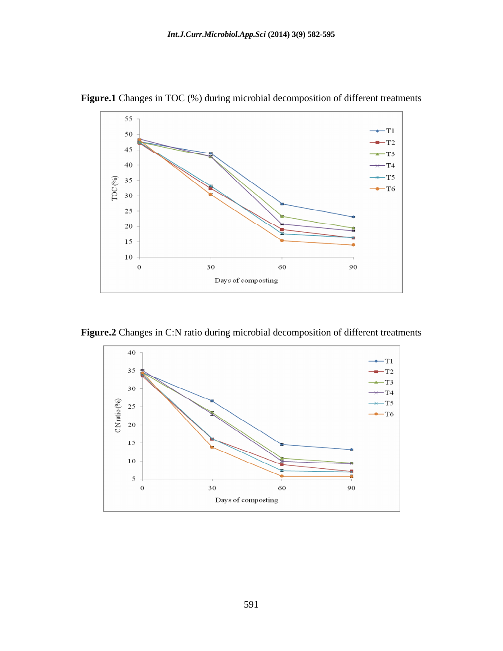

**Figure.1** Changes in TOC (%) during microbial decomposition of different treatments

**Figure.2** Changes in C:N ratio during microbial decomposition of different treatments

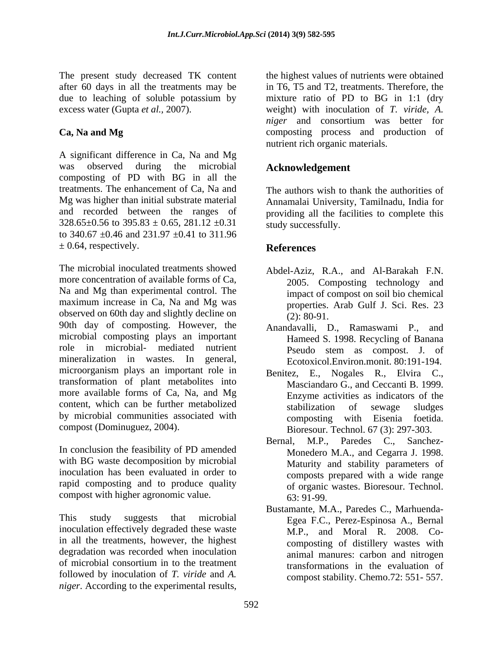after 60 days in all the treatments may be due to leaching of soluble potassium by

A significant difference in Ca, Na and Mg was observed during the microbial **Acknowledgement** composting of PD with BG in all the treatments. The enhancement of Ca, Na and The authors wish to thank the authorities of Mg was higher than initial substrate material Annamalai University,Tamilnadu, India for and recorded between the ranges of providing all the facilities to complete this  $328.65\pm0.56$  to  $395.83 \pm 0.65$ ,  $281.12 \pm 0.31$ to 340.67  $\pm$ 0.46 and 231.97  $\pm$ 0.41 to 311.96  $\pm$  0.64, respectively. **References** 

The microbial inoculated treatments showed more concentration of available forms of Ca, Na and Mg than experimental control. The maximum increase in Ca, Na and Mg was observed on 60th day and slightly decline on  $(2)$ : 80-91. 90th day of composting. However, the microbial composting plays an important role in microbial- mediated nutrient Pseudo stem as compost. J. of mineralization in wastes. In general, microorganism plays an important role in transformation of plant metabolites into more available forms of Ca, Na, and Mg content, which can be further metabolized stabilization of sewage sludges by microbial communities associated with composting with Eisenia foetida.

In conclusion the feasibility of PD amended with BG waste decomposition by microbial rapid composting and to produce quality compost with higher agronomic value.  $63:91-99$ .

inoculation effectively degraded these waste in all the treatments, however, the highest degradation was recorded when inoculation of microbial consortium in to the treatment followed by inoculation of *T. viride* and *A. niger*. According to the experimental results,

The present study decreased TK content the highest values of nutrients were obtained excess water (Gupta *et al.,* 2007). weight) with inoculation of *T. viride, A.* **Ca, Na and Mg** composting process and production of in T6, T5 and T2, treatments. Therefore, the mixture ratio of PD to BG in 1:1 (dry *niger* and consortium was better for nutrient rich organic materials.

# **Acknowledgement**

study successfully.

### **References**

- Abdel-Aziz, R.A., and Al-Barakah F.N. 2005. Composting technology and impact of compost on soil bio chemical properties. Arab Gulf J. Sci. Res. 23 (2): 80-91.
- Anandavalli, D., Ramaswami P., and Hameed S. 1998. Recycling of Banana Ecotoxicol.Environ.monit. 80:191-194.
- compost (Dominuguez, 2004). Bioresour. Technol. 67 (3): 297-303. Benitez, E., Nogales R., Elvira C., Masciandaro G., and Ceccanti B. 1999. Enzyme activities as indicators of the stabilization of sewage sludges composting with Eisenia foetida.
- inoculation has been evaluated in order to composts prepared with a wide range Bernal, M.P., Paredes C., Sanchez- Monedero M.A., and Cegarra J. 1998. Maturity and stability parameters of of organic wastes. Bioresour. Technol. 63: 91-99.
- This study suggests that microbial Egea F.C., Perez-Espinosa A., Bernal Bustamante, M.A., Paredes C., Marhuenda- M.P., and Moral R. 2008. Co composting of distillery wastes with animal manures: carbon and nitrogen transformations in the evaluation of compost stability. Chemo.72: 551- 557.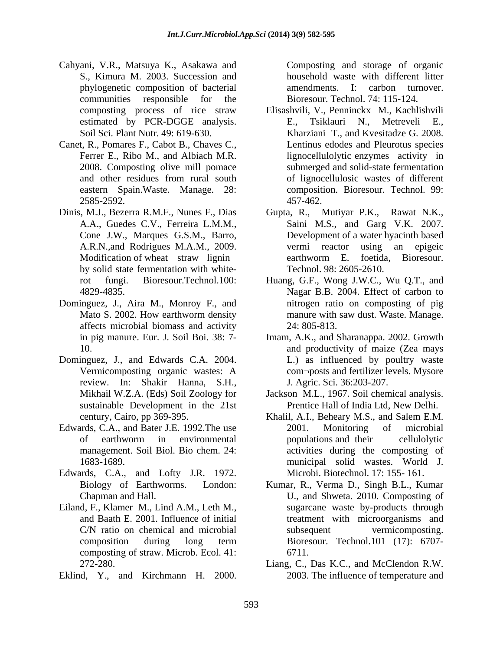- Cahyani, V.R., Matsuya K., Asakawa and S., Kimura M. 2003. Succession and household waste with different litter phylogenetic composition of bacterial communities responsible for the
- Canet, R., Pomares F., Cabot B., Chaves C.,
- by solid state fermentation with white-
- Dominguez, J., Aira M., Monroy F., and affects microbial biomass and activity
- Dominguez, J., and Edwards C.A. 2004. review. In: Shakir Hanna, S.H., sustainable Development in the 21st
- Edwards, C.A., and Bater J.E. 1992. The use 2001. Monitoring of microbial
- Edwards, C.A., and Lofty J.R. 1972.
- Eiland, F., Klamer M., Lind A.M., Leth M., C/N ratio on chemical and microbial subsequent composting of straw. Microb. Ecol. 41: 6711.
- 

amendments. I: carbon turnover. Bioresour. Technol. 74: 115-124.

- composting process of rice straw Elisashvili, V., Penninckx M., Kachlishvili estimated by PCR-DGGE analysis. E., Tsiklauri N., Metreveli E., Soil Sci. Plant Nutr. 49: 619-630. Kharziani T., and Kvesitadze G. 2008. Ferrer E., Ribo M., and Albiach M.R. lignocellulolytic enzymes activity in 2008. Composting olive mill pomace submerged and solid-state fermentation and other residues from rural south of lignocellulosic wastes of different eastern Spain.Waste. Manage. 28: composition. Bioresour. Technol. 99: 2585-2592. Espaina, V.R., Marques Composition (Composition and Europa and State Hammon Marques (for organic composition of backeting and the storage of organic composition in the storage of organic strength behind the storage of org E., Tsiklauri N., Metreveli E., Lentinus edodes and Pleurotus species of lignocellulosic wastes of different 457-462.
- Dinis, M.J., Bezerra R.M.F., Nunes F., Dias Gupta, R., Mutiyar P.K., Rawat N.K., A.A., Guedes C.V., Ferreira L.M.M., Saini M.S., and Garg V.K. 2007. Cone J.W., Marques G.S.M., Barro, Development of a water hyacinth based A.R.N.,and Rodrigues M.A.M., 2009. Modification of wheat straw lignin earthworm E. foetida, Bioresour. vermi reactor using an epigeic earthworm E. foetida, Bioresour. Technol. 98: 2605-2610.
	- rot fungi. Bioresour.Technol.100: Huang, G.F., Wong J.W.C., Wu Q.T., and 4829-4835. Nagar B.B. 2004. Effect of carbon to Mato S. 2002. How earthworm density manure with saw dust. Waste. Manage. nitrogen ratio on composting of pig manure with saw dust. Waste. Manage. 24: 805-813.
	- in pig manure. Eur. J. Soil Boi. 38: 7- Imam, A.K., and Sharanappa. 2002. Growth 10. and productivity of maize(Zea mays Vermicomposting organic wastes: A com¬posts and fertilizer levels. Mysore L.) as influenced by poultry waste J. Agric. Sci. 36:203-207.
	- Mikhail W.Z.A. (Eds) Soil Zoology for Jackson M.L., 1967. Soil chemical analysis. Prentice Hall of India Ltd, New Delhi.
	- century, Cairo, pp 369-395. Khalil, A.I., Beheary M.S., and Salem E.M. of earthworm in environmental management. Soil Biol. Bio chem. 24: activities during the composting of 1683-1689. municipal solid wastes. World J. 2001. Monitoring of microbial populations and their cellulolytic Microbi. Biotechnol. 17: 155- 161.
	- Biology of Earthworms. London: Kumar, R., Verma D., Singh B.L., Kumar Chapman and Hall. U., and Shweta. 2010. Composting of and Baath E. 2001. Influence of initial treatment with microorganisms and composition during long term Bioresour. Technol.101 (17): 6707sugarcane waste by-products through vermicomposting. Bioresour. Technol.101 (17): 6707- 6711.
	- 272-280. Liang, C., Das K.C., and McClendon R.W. 2003. The influence of temperature and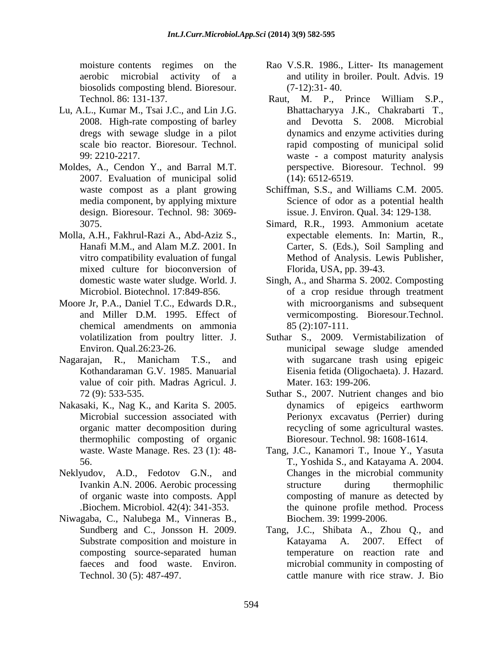biosolids composting blend. Bioresour. (7-12):31-40.

- Lu, A.L., Kumar M., Tsai J.C., and Lin J.G. 2008. High-rate composting of barley
- Moldes, A., Cendon Y., and Barral M.T. 2007. Evaluation of municipal solid
- Molla, A.H., Fakhrul-Razi A., Abd-Aziz S., mixed culture for bioconversion of
- Moore Jr, P.A., Daniel T.C., Edwards D.R., chemical amendments on ammonia
- value of coir pith. Madras Agricul. J.
- Nakasaki, K., Nag K., and Karita S. 2005. thermophilic composting of organic
- Neklyudov, A.D., Fedotov G.N., and
- Niwagaba, C., Nalubega M., Vinneras B.,
- moisture contents regimes on the Rao V.S.R. 1986., Litter- Its management aerobic microbial activity of a and utility in broiler. Poult. Advis. 19 (7-12):31- 40.
- Technol. 86: 131-137. Raut, M. P., Prince William S.P., dregs with sewage sludge in a pilot dynamics and enzyme activities during scale bio reactor. Bioresour. Technol. rapid composting of municipal solid 99: 2210-2217. waste - a compost maturity analysis Bhattacharyya J.K., Chakrabarti T., and Devotta S. 2008. Microbial perspective. Bioresour. Technol. 99 (14): 6512-6519.
- waste compost as a plant growing Schiffman, S.S., and Williams C.M. 2005. media component, by applying mixture Science of odor as a potential health design. Bioresour. Technol. 98: 3069- issue. J. Environ. Qual. 34: 129-138.
- 3075. Simard, R.R., 1993. Ammonium acetate Hanafi M.M., and Alam M.Z. 2001. In vitro compatibility evaluation of fungal Method of Analysis. Lewis Publisher, expectable elements. In: Martin, R., Carter, S. (Eds.), Soil Sampling and Florida, USA, pp. 39-43.
- domestic waste water sludge. World. J. Singh, A., and Sharma S. 2002. Composting Microbiol. Biotechnol. 17:849-856. of a crop residue through treatment and Miller D.M. 1995. Effect of vermicomposting. Bioresour.Technol. with microorganisms and subsequent 85 (2):107-111.
- volatilization from poultry litter. J. Suthar S., 2009. Vermistabilization of Environ. Qual.26:23-26. municipal sewage sludge amended Nagarajan, R., Manicham T.S., and Kothandaraman G.V. 1985. Manuarial Eisenia fetida (Oligochaeta). J. Hazard. with sugarcane trash using epigeic Mater. 163: 199-206.
	- 72 (9): 533-535. Suthar S., 2007. Nutrient changes and bio Microbial succession associated with Perionyx excavatus (Perrier) during organic matter decomposition during recycling of some agricultural wastes. dynamics of epigeics earthworm Bioresour. Technol. 98: 1608-1614.
	- waste. Waste Manage. Res. 23 (1): 48- Tang, J.C., Kanamori T., Inoue Y., Yasuta 56. T., Yoshida S., and Katayama A. 2004. Ivankin A.N. 2006. Aerobic processing of organic waste into composts. Appl composting of manure as detected by .Biochem. Microbiol. 42(4): 341-353. the quinone profile method. Process Changes in the microbial community structure during thermophilic Biochem. 39: 1999-2006.
	- Sundberg and C., Jonsson H. 2009. Tang, J.C., Shibata A., Zhou Q., and Substrate composition and moisture in The Katayama A. 2007. Effect of composting source-separated human temperature on reaction rate and faeces and food waste. Environ. microbial community in composting of Technol. 30 (5): 487-497. cattle manure with rice straw. J. BioKatayama A. 2007. Effect of